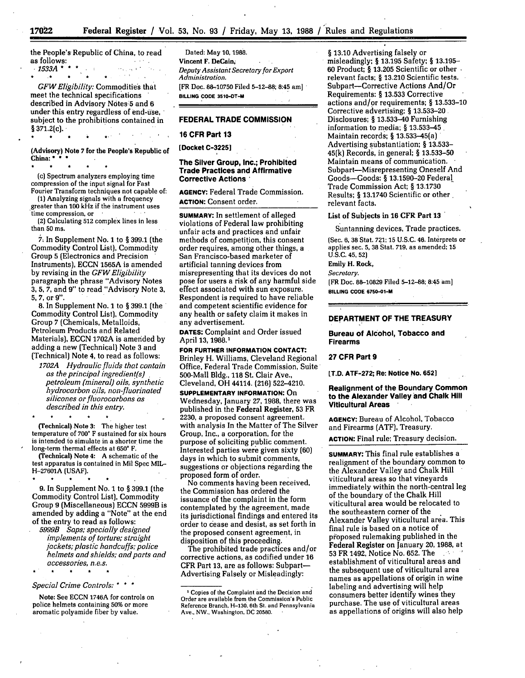the People's Republic of China, to read as follows:

*.1533A\*\*.*

*GFW Eligibility:* Commodities that meet the technical specifications described in Advisory Notes'5 and 6 under this entry regardless of end-use, subject to the prohibitions contained in  $§ 371.2(c).$ 

(Advisory) Note **7** for the People's Republic of China: *\**

(c) Spectrum analyzers employing time compression of the input signal for Fast Fourier Transform techniques not capable of:

**(1)** Analyzing signals with a frequency greater than **100** kHz if the instrument uses

(2) Calculating 512 complex lines in less than 50 ms.

*7.* In Supplement No. 1 to § 399.1 (the Commodity Control List), Commodity Group 5 (Electronics and Precision Instruments), ECCN 1565A is amended by revising in the *GFW Eligibility* paragraph the phrase "Advisory Notes 3, 5, 7, and **9"** to read "Advisory Note 3, 5, 7, or **9".**

**8.** In Supplement No. 1 to § 399.1 (the Commodity Control List), Commodity Group 7 (Chemicals, Metalloids, Petroleum Products and Related Materials), ECCN 1702A is amended by adding a new (Technical) Note 3 and (Technical) Note 4, to read as follows:

*1702A Hydraulic fluids that contain as the principal ingredient(s)* . *petroleum (mineral) oils, synthetic hydrocarbon oils, non-fluorinated silicones* or *fluorocarbons as described in this entry.*

(Technical) Note **3:** The higher test temperature of **700'** F sustained for six hours is intended to simulate in a shorter time the long-term thermal effects at **650'** F.

(Technical) Note 4: **A** schematic of the test apparatus is contained in Mil Spec MIL-**H-27601A (USAF).**

**9.** In Supplement No. 1 to § **399.1** (the Commodity Control List), Commodity Group 9 (Miscellaneous) **ECCN 5999B** is amended **by** adding a "Note" at the end of the entry to read as follows:

*5999B Saps; specially designed implements of torture; straight jackets; plastic handcuffs; police helmets and shields; and parts and accessories, n.e.s.*

# *Special Crime Controls:* **\*** \* \*

 $\bullet$ 

Note: See ECCN 1746A for controls on police helmets containing 50% or more aromatic polyamide fiber by value.

 $\bullet$ 

Dated: May **10, 1988.** Vincent F. DeCain; *Deputy Assistant Secretary for Export Administration.* [FR Doc. 88-10750 Filed 5-12-88; 8:45 am] **BILLING CODE 3510-DT-M**

#### **FEDERAL TRADE COMMISSION**

## **16 CFR Part 13**

**[Docket C-32251**

## **The Silver Group, Inc.; Prohibited Trade Practices and Affirmative Corrective Actions\***

AGENCY: Federal Trade Commission. **ACTION:** Consent order.

**SUMMARY:** In settlement of alleged violations of Federal law prohibiting unfair acts and practices and unfair methods of competition, this consent order requires, among other things, a San Francisco-based marketer of artificial tanning devices from misrepresenting that its devices do not pose for users a risk of any harmful side effect associated with sun exposure. Respondent is required to have reliable and competent scientific evidence for any health or safety claim it makes in any advertisement.

**DATES:** Complaint and Order issued April 13, 1988.1

**FOR FURTHER INFORMATION CONTACT:** Brinley H. Williams, Cleveland Regional Office, Federal Trade Commission, Suite' 500-Mall Bldg., 118 St. Clair Ave., Cleveland, OH 44114. **(216)** 522-4210.

**SUPPLEMENTARY INFORMATION:** On Wednesday, January 27, 1988, there was published in the Federal Register, 53 FR 2230, a proposed consent agreement. with analysis In the Matter of The Silver Group, Inc., a corporation, for the purpose of soliciting public comment. Interested parties were given sixty (60) days in which to submit comments, suggestions or objections regarding the proposed form of order.

No comments having been received, the Commission has ordered the issuance of the complaint in the form contemplated by the agreement, made its jurisdictional findings and entered its order to cease and desist, as set forth in the proposed consent agreement, in disposition of this proceeding.

The prohibited trade practices and/or corrective actions, as codified under 16 CFR Part 13, are as follows: Subpart-Advertising Falsely or Misleadingly:

§ **13.10** Advertising falsely or misleadingly; § 13.195 Safety; § 13.195- 60 Product; § 13.205 Scientific or other relevant facts; § 13.210 Scientific tests. Subpart-Corrective Actions And/Or Requirements: § 13.533 Corrective actions and/or requirements; § 13.533-10 Corrective advertising; § 13.533-20 Disclosures; § 13.533-40 Furnishing information to media; § 13.533-45 Maintain records; § 13.533-45(a) Advertising substantiation; § 13.533- 45(k) Records, in general; § 13.533-50 Maintain means of communication. Subpart-Misrepresenting Oneself And Goods-Goods: § 13.1590-20 Federal Trade Commission Act; § 13.1730 Results; § 13.1740 Scientific or other relevant facts.

## List of Subjects in **16** CFR Part **13**

Suntanning devices, Trade practices.

(Sec. 6, **38** Stat. 721; 15 U.S.C. 46. Interprets or applies sec. **5, 38** Stat. **719,** as amended; **15** U.S.C. 45, **52)**

Emily H. Rock,

*Secretary.*

[FR Doc. 88-10829 Filed 5-12-88; 8:45 **am] BILLING CODE 6750-O1-M**

## **DEPARTMENT OF THE TREASURY**

#### **Bureau of Alcohol, Tobacco and Firearms**

#### **27 CFR Part 9**

**[T.D. ATF-272; Re: Notice No. 6521**

## **Realignment of the Boundary Common to the Alexander Valley and Chalk Hill Viticultural Areas**

**AGENCY:** Bureau of Alcohol, Tobacco and Firearms (ATF), Treasury.

**ACTION:** Final rule; Treasury decision.

**SUMMARY:** This final rule establishes a realignment of the boundary common to the Alexander Valley and Chalk Hill viticultural areas so that vineyards immediately within the north-central leg of the boundary of the Chalk Hill viticultural area would be relocated to the southeastern corner of the Alexander Valley viticultural area. This final rule is based on a notice of proposed rulemaking published in the Federal Register on January 20, **1988,** at 53 FR 1492, Notice No. 652. The establishment of viticultural areas and the subsequent use of viticultural area names as appellations of origin in wine labeling and advertising will help consumers better identify wines they purchase. The use of viticultural areas as appellations of origins will also help

**17022**

 $\bullet$ 

Copies of the Complaint and the Decision and Order are available from the Commission's Public Reference Branch, **H-130,** 6th St. and Pennsylvania Ave., NW., Washington, **DC 20580.**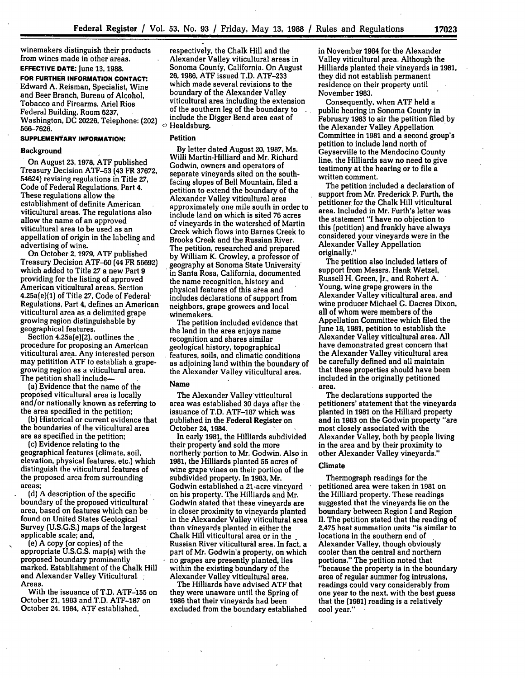winemakers distinguish their products from wines made in other areas.

**EFFECTIVE DATE:** June **13, 1988. FOR FURTHER INFORMATION CONTACT.** Edward A. Reisman, Specialist, Wine and Beer Branch, Bureau of Alcohol, Tobacco and Firearms, Ariel Rios Federal Building, Room **6237,** Washington, DC **20226,** Telephone: (202) **566-7626.**

## **SUPPLEMENTARY INFORMATION:**

#### Background

On August **23, 1978, ATF** published Treasury Decision **ATF-53 (43** FR 37672, **54624)** revising regulations **in** Title **27,** Code of Federal Regulations, Part 4. These regulations allow the establishment of definite American viticultural areas. The regulations also allow the name of an approved viticultural area to be used as an appellation of origin in the labeling and advertising of wine.

On October **2, 1979, ATF** published Treasury Decision **ATF-60** (44 FR 56692) which added to Title **27** a new Part 9 American viticultural areas. Section 4.25a(e)(1) of Title **27,** Code of Federal, Regulations, Part **4,** defines an American viticultural area as a delimited grape growing region distinguishable **by** geographical features.

Section 4.25a(e)(2), outlines the procedure for proposing an American viticultural area. Any interested person may petitition **ATF** to establish a grape- growing region as a viticultural area. The petition shall include-

(a) Evidence that the name of the proposed viticultural area is locally and/or nationally known as referring to the area specified in the petition;

**(b)** Historical or current evidence that the boundaries of the viticultural area are as specified in the petition;

(c) Evidence relating to the geographical features (climate, soil, elevation, physical features, etc.) which distinguish the viticultural features of the proposed area from surrounding areas;

**(d)** A description of the specific boundary of the proposed viticultural area, based on features which can be found on United States Geological Survey **(U.S.G.S.)** maps of the largest applicable scale; and,

(e) A copy (or copies) of the appropriate U.S.G.S. map(s) with the proposed boundary prominently marked. Establishment of the Chalk Hill and Alexander Valley Viticultural. Areas.

With the issuance of T.D. **ATF-155** on October 21, **1983** and T.D. **ATF-187** on October 24, 1984, ATF established,

respectively, the Chalk Hill and the Alexander Valley viticultural areas in Sonoma Counfy, California. On August 26, 1986, **ATF** issued T.D. **ATF-233** which made several revisions to the<br>boundary of the Alexander Valley viticultural area including the extension of the southern leg of the boundary to include the Digger Bend area east of  $\circ$  Healdsburg.

#### Petition

**By** letter dated August **20, 1987,** Ms. Willi Martin-Hilliard and Mr. Richard Godwin, owners and operators of separate vineyards sited on the southfacing slopes of Bell Mountain, filed a petition to extend the boundary of the Alexander Valley viticultural area approximately one mile south in order to include land on which is sited 76 acres of vineyards in the watershed of Martin Creek which flows into Barnes Creek to Brooks Creek and the Russian River. The petition, researched and prepared **by** William K. Crowley, a professor of geography at Sonoma State University in Santa Rosa, California, documented the name recognition, history and physical features of this area and includes declarations of support from neighbors, grape growers and local winemakers.

The petition included evidence that the land in the area enjoys name recognition and shares similar features, soils, and climatic conditions as adjoining land within the boundary of the Alexander Valley viticultural area.

## Name

The Alexander Valley viticultural area was established 30 days after the issuance of T.D. ATF-187 which was published in the Federal Register on October 24, 1984.

In early 1981, the Hilliards subdivided their property and sold the more northerly portion to Mr. Godwin. Also in **1981,** the Hilliards planted **55** acres of wine grape vines on their portion of the subdivided property. In 1983, Mr. Godwin established a 21-acre vineyard on his property. The Hilliards and Mr. Godwin stated that these vineyards are in closer proximity to vineyards planted in the Alexander Valley viticultural area than vineyards planted in either the Chalk Hill viticultural area or in the Russian River viticultural area. In fact, a part of Mr. Godwin's property, on which no grapes are presently planted, lies within the existing boundary of the Alexander Valley viticultural area.

The Hilliards have advised **ATF** that they were unaware until the Spring of **1986** that their vineyards had been excluded from the boundary established in November 1984 for the Alexander Valley viticultural area. Although the Hilliards planted their vinevards in 1981. they did not establish permanent residence on their property until November **1983.**

Consequently, when ATF held a public hearing in Sonoma County in February **1983** to air the petition filed **by** the Alexander Valley Appellation Committee in 1981 and a second group's petition to include land north of Geyserville to the Mendocino County line, the Hilliards saw no need to give testimony at the hearing or to file a written comment.

The petition included a declaration of support from Mr. Frederick P. Furth, the petitioner for the Chalk Hill viticultural area. Included in Mr. Furth's letter was the statement "I have no objection to this (petition) and frankly have always considered your vineyards were in the Alexander Valley Appellation originally,."

The petition also included letters of support from Messrs. Hank Wetzel, Russell H. Green, Jr., and Robert **A.** Young, wine grape growers in the Alexander Valley viticultural area, and wine producer Michael **G.** Dacres Dixon, all of whom were members of the Appellation Committee which filed the June 18, **1981,** petition to establish the Alexander Valley viticultural area. **All** have demonstrated great concern that the Alexander Valley viticultural area be carefully defined and all maintain that these properties should have been included in the originally petitioned area.

The declarations supported the petitioners' statement that the vineyards planted in **1981** on the Hilliard property and in **1983** on the Godwin property "are most closely associated with the Alexander Valley, both **by** people living in the area and **by** their proximity to other Alexander Valley vineyards."

## Climate

Thermograph readings for the petitioned area were taken in **1981** on the Hilliard property. These readings suggested that the vineyards lie on the boundary between Region I and Region **I.** The petition stated that the reading of **2,475** heat summation units "is similar to locations in the southern end of Alexander Valley, though obviously cooler than the central and northern portions." The petition noted that "because the property is in the boundary area of regular summer fog intrusions, readings could vary considerably from one year to the next, with the best guess that the **(1981)** reading is a relatively cool year."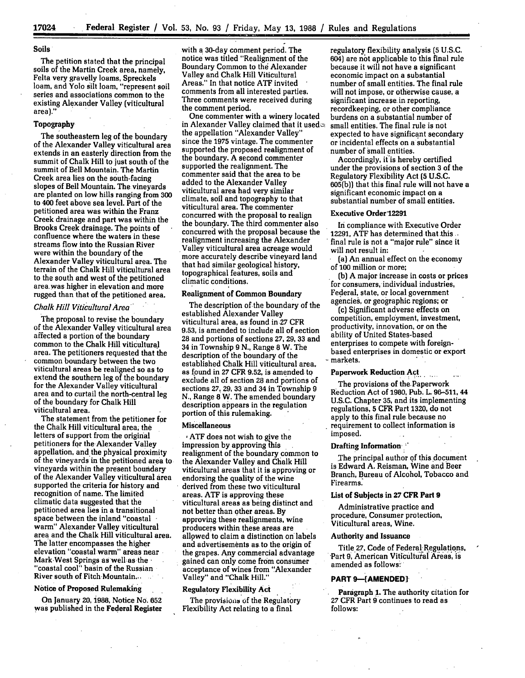## **Soils**

The petition stated that the principal soils of the Martin Creek **area,** namely, Felta very gravelly **ioams,** Spreckels loam, and Yolo silt loam, "represent soil series and associations common to the existing Alexander Valley (viticultural area)."

## Topography

The southeastern leg of the boundary of the Alexander Valley viticultural area extends in an easterly direction from the summit of Chalk Hill to just south of the summit of Bell Mountain. The Martin Creek area lies on the south-facing are planted on low hills ranging from 300 to 400 feet above sea level. Part of the petitioned area was within the Franz Creek drainage and part was within the Brooks Creek drainage. The points of confluence where the waters in these streams flow into the Russian River were within the boundary of the Alexander Valley viticultural area. The terrain of the Chalk Hill viticultural area to the south and west of the petitioned area. was higher in elevation and more rugged than that of the petitioned area.

## *Chalk Hill Viticultural Area"*

**The** proposal to revise the boundary of the Alexander Valley viticultural area affected a portion of the boundary common to the Chalk Hill viticultural area. The petitioners requested that the common boundary between the two viticultural areas be realigned so as to extend the southern leg of the boundary for the Alexander Valley viticultural area and to curtail the north-central leg of the boundary for Chalk Hill

viticultural area. The statement from the petitioner for the Chalk Hill viticultural area, the letters of support from the original petitioners for the-Alexander Valley appellation, and the physical proximity of the vineyards in the petitioned area to vineyards within the present boundary of the Alexander Valley viticultural area supported the criteria for history and recognition of name. The limited climatic data suggested that the petitioned area lies in a transitional space between the inland "coastal warm" Alexander Valley viticultural area and the Chalk Hill viticultural area. The latter encompasses the higher elevation "coastal warm" areas near Mark West Springs aswell: as the. "coastal cool" basin of the Russian River south of Fitch Mountain...

## **Notice** of Proposed Rulemaking

On January 20, i988, Notice No. **652** was published in the Federal Register with a 30-day comment period. The notice was titled "Realignment of the Boundary Common to the Alexander Valley and Chalk Hill Viticultural Areas." In that notice **ATF** invited comments from all interested parties. Three comments were received during the comment period.

One commenter with a winery located in Alexander Valley claimed that it used $\infty$ the appellation "Alexander Valley" since the **1975** vintage. The commenter supported the proposed realignment of the boundary. A second commenter supported the realignment. The commenter said that the area to be added to the Alexander Valley viticultural area had very similar climate, soil and topography to that viticultural area. The commenter concurred with the proposal to realign the boundary. The third commenter also concurred with the proposal because the realignment increasing the Alexander Valley viticultural area acreage would more accurately describe vineyard land that had similar geological history, topographical features, soils and climatic conditions.

## Realignment of Common Boundary

The description of the boundary of the established Alexander Valley viticultural area, as found in.27 CFR **9.53,** is amended to include all of section **28** and portions of sections **27, 29, 33** and 34 in Township **9 N.,** Range 8 W. The description of the boundary of the established Chalk Hill viticultural area, as found in **27 CFR 9.52,** is amended. to exclude all of section **28** and portions of sections **27, 29, 33** and **34** in Township **9 N.,** Range 8 W. The amended boundary description appears in the regulation portion of this rulemaking.

## Miscellaneous

**,ATF** does not wish to give the impression **by** approving this realignment of the boundary common to the Alexander Valley and Chalk Hill viticultural areas that it is approving or endorsing the quality of the wine derived from these two viticultural areas. **ATF** is approving these viticultural areas as being distinct and not better than other areas. **By** approving these realignments, wine producers within these areas are allowed to claim a distinction on labels **and** advertisements as to the origin of the grapes. Any commercial advantage gained can only come from consumer acceptance of wines from "Alexander Valley" and "Chalk Hill."

#### Regulatory Flexibility Act

The provisions of the Regulatory Flexibility Act relating to a final

regulatory flexibility analysis **(5 U.S.C.** 604) are not applicable to this final rule because it will not have a significant economic impact on a substantial number of small entities. The final rule will not impose, or otherwise cause, a significant increase. in reporting, recordkeeping, or other compliance burdens on a substantial number of small entities. The final rule is not expected to have significant secondary or incidental effects on a substantial number of small entities.

Accordingly, it is hereby certified under the provisions of section **3** of the Regulatory Flexibility Act **(5 U.S.C. 605(b))** that this final rule will **not** have a significant economic impact on a substantial number of small entities.

## **Executive Order'12291**

In compliance with Executive Order **12291, ATF** has determined that this. final rule is not a "major rule" since it will not result in:

(a) An annual effect on the economy of **100** million or more;

**(b)** A major increase in costs or prices for consumers, individual industries, Federal, state, or local government agencies, or geographic regions; or

(c) Significant adverse effects on competition, employment, investment, productivity, innovation, or on the ability of United States-based enterprises to compete with foreignbased enterprises in domestic or export markets.

# **Paperwork Reduction Act**

The provisions of the. Paperwork Reduction Act of **1980, Pub. L. 96-511, 44 U.S.C.** Chapter **35,** and its implementing regulations, **5** CFR Part **1320,** do not apply to this final rule because no requirement to collect information is imposed.

# **Drafting Information,**

The principal author of this document is Edward **A.** Reisman, Wine and Beer Branch, Bureau of Alcohol, Tobacco and Firearms.

#### List of Subjects in **27 CFR Part 9**

Administrative practice and procedure, Consumer protection, Viticultural areas, Wine.

#### **Authority and Issuance**

**Title 27, Code of Federal- Regulations,** Part 9, American Viticultural Areas, is amended as follows:

#### PART 9-[AMENDED]

Paragraph **I.** The authority citation for **27 CFR Part 9** continues to read as follows: